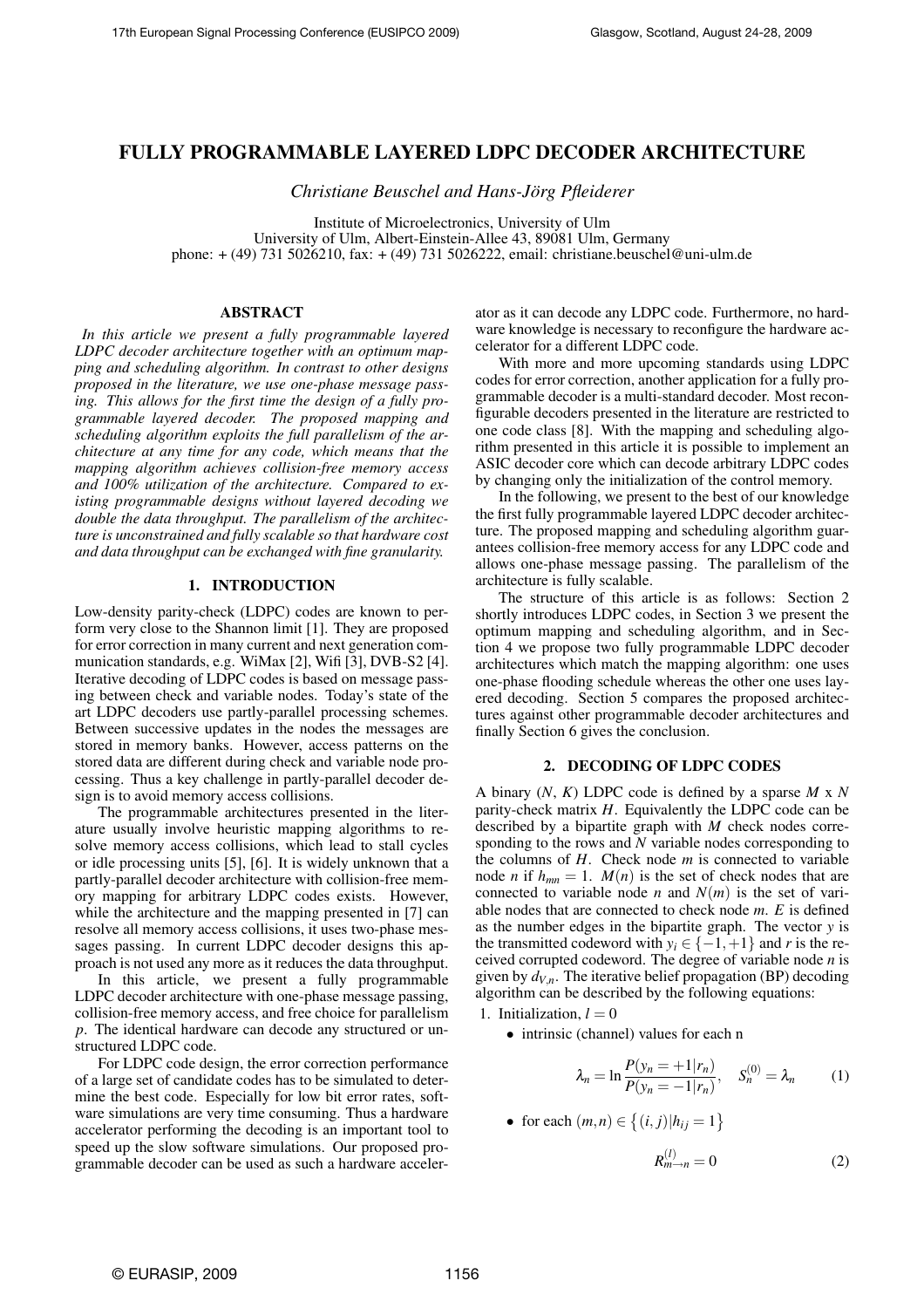# **FULLY PROGRAMMABLE LAYERED LDPC DECODER ARCHITECTURE**

*Christiane Beuschel and Hans-Jörg Pfleiderer* 

Institute of Microelectronics, University of Ulm University of Ulm, Albert-Einstein-Allee 43, 89081 Ulm, Germany phone: + (49) 731 5026210, fax: + (49) 731 5026222, email: christiane.beuschel@uni-ulm.de

## **ABSTRACT**

*In this article we present a fully programmable layered LDPC decoder architecture together with an optimum mapping and scheduling algorithm. In contrast to other designs proposed in the literature, we use one-phase message passing. This allows for the first time the design of a fully programmable layered decoder. The proposed mapping and scheduling algorithm exploits the full parallelism of the architecture at any time for any code, which means that the mapping algorithm achieves collision-free memory access and 100% utilization of the architecture. Compared to existing programmable designs without layered decoding we double the data throughput. The parallelism of the architecture is unconstrained and fully scalable so that hardware cost and data throughput can be exchanged with fine granularity.*

# **1. INTRODUCTION**

Low-density parity-check (LDPC) codes are known to perform very close to the Shannon limit [1]. They are proposed for error correction in many current and next generation communication standards, e.g. WiMax [2], Wifi [3], DVB-S2 [4]. Iterative decoding of LDPC codes is based on message passing between check and variable nodes. Today's state of the art LDPC decoders use partly-parallel processing schemes. Between successive updates in the nodes the messages are stored in memory banks. However, access patterns on the stored data are different during check and variable node processing. Thus a key challenge in partly-parallel decoder design is to avoid memory access collisions.

The programmable architectures presented in the literature usually involve heuristic mapping algorithms to resolve memory access collisions, which lead to stall cycles or idle processing units [5], [6]. It is widely unknown that a partly-parallel decoder architecture with collision-free memory mapping for arbitrary LDPC codes exists. However, while the architecture and the mapping presented in [7] can resolve all memory access collisions, it uses two-phase messages passing. In current LDPC decoder designs this approach is not used any more as it reduces the data throughput.

In this article, we present a fully programmable LDPC decoder architecture with one-phase message passing, collision-free memory access, and free choice for parallelism *p*. The identical hardware can decode any structured or unstructured LDPC code.

For LDPC code design, the error correction performance of a large set of candidate codes has to be simulated to determine the best code. Especially for low bit error rates, software simulations are very time consuming. Thus a hardware accelerator performing the decoding is an important tool to speed up the slow software simulations. Our proposed programmable decoder can be used as such a hardware accelerator as it can decode any LDPC code. Furthermore, no hardware knowledge is necessary to reconfigure the hardware accelerator for a different LDPC code.

With more and more upcoming standards using LDPC codes for error correction, another application for a fully programmable decoder is a multi-standard decoder. Most reconfigurable decoders presented in the literature are restricted to one code class [8]. With the mapping and scheduling algorithm presented in this article it is possible to implement an ASIC decoder core which can decode arbitrary LDPC codes by changing only the initialization of the control memory.

In the following, we present to the best of our knowledge the first fully programmable layered LDPC decoder architecture. The proposed mapping and scheduling algorithm guarantees collision-free memory access for any LDPC code and allows one-phase message passing. The parallelism of the architecture is fully scalable.

The structure of this article is as follows: Section 2 shortly introduces LDPC codes, in Section 3 we present the optimum mapping and scheduling algorithm, and in Section 4 we propose two fully programmable LDPC decoder architectures which match the mapping algorithm: one uses one-phase flooding schedule whereas the other one uses layered decoding. Section 5 compares the proposed architectures against other programmable decoder architectures and finally Section 6 gives the conclusion.

### **2. DECODING OF LDPC CODES**

A binary (*N*, *K*) LDPC code is defined by a sparse *M* x *N* parity-check matrix *H*. Equivalently the LDPC code can be described by a bipartite graph with *M* check nodes corresponding to the rows and *N* variable nodes corresponding to the columns of *H*. Check node *m* is connected to variable node *n* if  $h_{mn} = 1$ .  $M(n)$  is the set of check nodes that are connected to variable node *n* and  $N(m)$  is the set of variable nodes that are connected to check node *m*. *E* is defined as the number edges in the bipartite graph. The vector *y* is the transmitted codeword with  $y_i \in \{-1, +1\}$  and *r* is the received corrupted codeword. The degree of variable node *n* is given by  $d_{V,n}$ . The iterative belief propagation (BP) decoding algorithm can be described by the following equations:

- 1. Initialization,  $l = 0$ 
	- intrinsic (channel) values for each n

$$
\lambda_n = \ln \frac{P(y_n = +1 | r_n)}{P(y_n = -1 | r_n)}, \quad S_n^{(0)} = \lambda_n \tag{1}
$$

• for each  $(m, n) \in \{(i, j) | h_{ij} = 1\}$ 

$$
R_{m \to n}^{(l)} = 0 \tag{2}
$$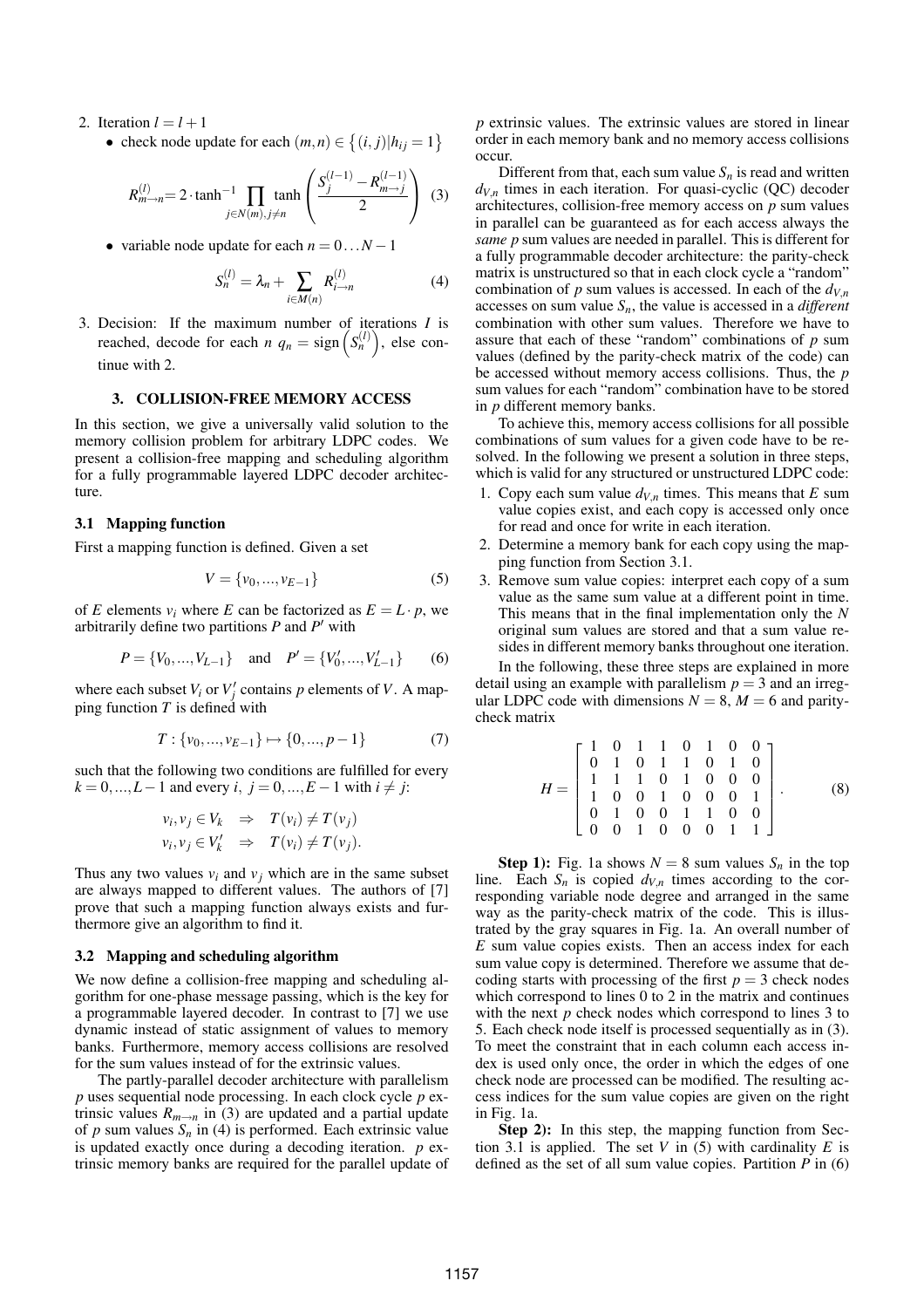- 2. Iteration  $l = l + 1$ 
	- check node update for each  $(m, n) \in \{(i, j) | h_{ij} = 1\}$

$$
R_{m \to n}^{(l)} = 2 \cdot \tanh^{-1} \prod_{j \in N(m), j \neq n} \tanh\left(\frac{S_j^{(l-1)} - R_{m \to j}^{(l-1)}}{2}\right) \tag{3}
$$

• variable node update for each  $n = 0...N - 1$ 

$$
S_n^{(l)} = \lambda_n + \sum_{i \in M(n)} R_{i \to n}^{(l)} \tag{4}
$$

3. Decision: If the maximum number of iterations *I* is reached, decode for each  $n \t q_n = \text{sign}(S_n^{(l)})$ , else continue with 2.

# **3. COLLISION-FREE MEMORY ACCESS**

In this section, we give a universally valid solution to the memory collision problem for arbitrary LDPC codes. We present a collision-free mapping and scheduling algorithm for a fully programmable layered LDPC decoder architecture.

### **3.1 Mapping function**

First a mapping function is defined. Given a set

$$
V = \{v_0, ..., v_{E-1}\}\tag{5}
$$

of *E* elements  $v_i$  where *E* can be factorized as  $E = L \cdot p$ , we arbitrarily define two partitions  $P$  and  $P'$  with

$$
P = \{V_0, ..., V_{L-1}\}\
$$
 and  $P' = \{V'_0, ..., V'_{L-1}\}\$  (6)

where each subset  $V_i$  or  $V'_j$  contains  $p$  elements of  $V$ . A mapping function  $T$  is defined with

$$
T: \{v_0, ..., v_{E-1}\} \mapsto \{0, ..., p-1\}
$$
 (7)

such that the following two conditions are fulfilled for every  $k = 0, ..., L - 1$  and every *i*,  $j = 0, ..., E - 1$  with  $i \neq j$ :

$$
v_i, v_j \in V_k \Rightarrow T(v_i) \neq T(v_j)
$$
  

$$
v_i, v_j \in V'_k \Rightarrow T(v_i) \neq T(v_j).
$$

Thus any two values  $v_i$  and  $v_j$  which are in the same subset are always mapped to different values. The authors of [7] prove that such a mapping function always exists and furthermore give an algorithm to find it.

### **3.2 Mapping and scheduling algorithm**

We now define a collision-free mapping and scheduling algorithm for one-phase message passing, which is the key for a programmable layered decoder. In contrast to [7] we use dynamic instead of static assignment of values to memory banks. Furthermore, memory access collisions are resolved for the sum values instead of for the extrinsic values.

The partly-parallel decoder architecture with parallelism *p* uses sequential node processing. In each clock cycle *p* extrinsic values  $R_{m\to n}$  in (3) are updated and a partial update of *p* sum values  $S_n$  in (4) is performed. Each extrinsic value is updated exactly once during a decoding iteration. *p* extrinsic memory banks are required for the parallel update of *p* extrinsic values. The extrinsic values are stored in linear order in each memory bank and no memory access collisions occur.

Different from that, each sum value  $S_n$  is read and written  $d_{V,n}$  times in each iteration. For quasi-cyclic (QC) decoder architectures, collision-free memory access on *p* sum values in parallel can be guaranteed as for each access always the *same p* sum values are needed in parallel. This is different for a fully programmable decoder architecture: the parity-check matrix is unstructured so that in each clock cycle a "random" combination of *p* sum values is accessed. In each of the  $d_{V,n}$ accesses on sum value *Sn*, the value is accessed in a *different* combination with other sum values. Therefore we have to assure that each of these "random" combinations of *p* sum values (defined by the parity-check matrix of the code) can be accessed without memory access collisions. Thus, the *p* sum values for each "random" combination have to be stored in *p* different memory banks.

To achieve this, memory access collisions for all possible combinations of sum values for a given code have to be resolved. In the following we present a solution in three steps, which is valid for any structured or unstructured LDPC code:

- 1. Copy each sum value  $d_{V,n}$  times. This means that  $E$  sum value copies exist, and each copy is accessed only once for read and once for write in each iteration.
- 2. Determine a memory bank for each copy using the mapping function from Section 3.1.
- 3. Remove sum value copies: interpret each copy of a sum value as the same sum value at a different point in time. This means that in the final implementation only the *N* original sum values are stored and that a sum value resides in different memory banks throughout one iteration.

In the following, these three steps are explained in more detail using an example with parallelism  $p = 3$  and an irregular LDPC code with dimensions  $N = 8$ ,  $M = 6$  and paritycheck matrix

$$
H = \begin{bmatrix} 1 & 0 & 1 & 1 & 0 & 1 & 0 & 0 \\ 0 & 1 & 0 & 1 & 1 & 0 & 1 & 0 \\ 1 & 1 & 1 & 0 & 1 & 0 & 0 & 0 \\ 1 & 0 & 0 & 1 & 0 & 0 & 0 & 1 \\ 0 & 1 & 0 & 0 & 1 & 1 & 0 & 0 \\ 0 & 0 & 1 & 0 & 0 & 0 & 1 & 1 \end{bmatrix}.
$$
 (8)

**Step 1):** Fig. 1a shows  $N = 8$  sum values  $S_n$  in the top line. Each  $S_n$  is copied  $d_{V_n}$  times according to the corresponding variable node degree and arranged in the same way as the parity-check matrix of the code. This is illustrated by the gray squares in Fig. 1a. An overall number of *E* sum value copies exists. Then an access index for each sum value copy is determined. Therefore we assume that decoding starts with processing of the first  $p = 3$  check nodes which correspond to lines 0 to 2 in the matrix and continues with the next *p* check nodes which correspond to lines 3 to 5. Each check node itself is processed sequentially as in (3). To meet the constraint that in each column each access index is used only once, the order in which the edges of one check node are processed can be modified. The resulting access indices for the sum value copies are given on the right in Fig. 1a.

**Step 2):** In this step, the mapping function from Section 3.1 is applied. The set *V* in  $(5)$  with cardinality *E* is defined as the set of all sum value copies. Partition  $P$  in (6)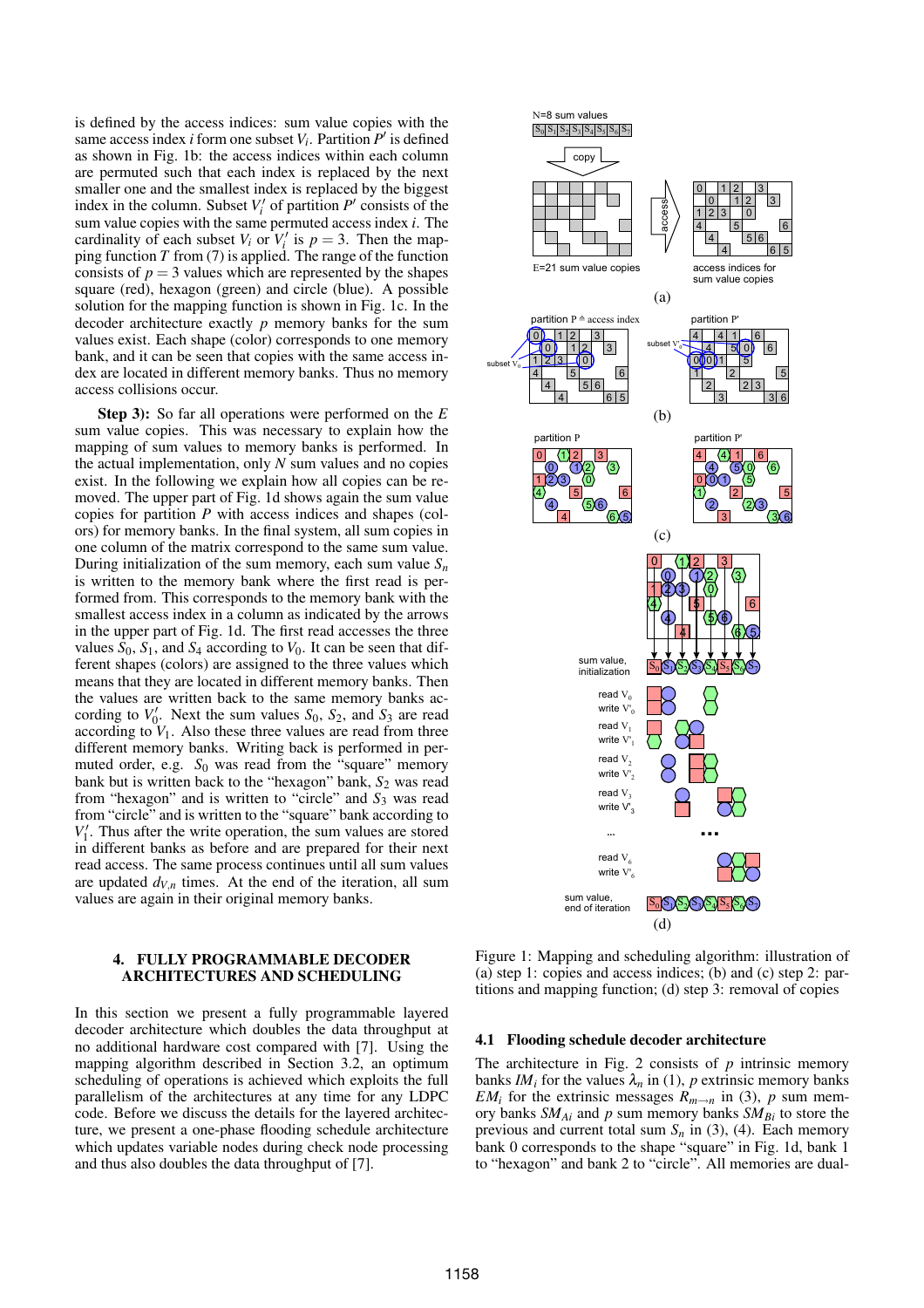is defined by the access indices: sum value copies with the same access index *i* form one subset  $V_i$ . Partition  $P'$  is defined as shown in Fig. 1b: the access indices within each column are permuted such that each index is replaced by the next smaller one and the smallest index is replaced by the biggest index in the column. Subset  $V_i'$  of partition  $P'$  consists of the sum value copies with the same permuted access index *i*. The cardinality of each subset  $V_i$  or  $V'_i$  is  $p = 3$ . Then the mapping function *T* from (7) is applied. The range of the function consists of  $p = 3$  values which are represented by the shapes square (red), hexagon (green) and circle (blue). A possible solution for the mapping function is shown in Fig. 1c. In the decoder architecture exactly *p* memory banks for the sum values exist. Each shape (color) corresponds to one memory bank, and it can be seen that copies with the same access index are located in different memory banks. Thus no memory access collisions occur.

**Step 3):** So far all operations were performed on the *E* sum value copies. This was necessary to explain how the mapping of sum values to memory banks is performed. In the actual implementation, only *N* sum values and no copies exist. In the following we explain how all copies can be removed. The upper part of Fig. 1d shows again the sum value copies for partition *P* with access indices and shapes (colors) for memory banks. In the final system, all sum copies in one column of the matrix correspond to the same sum value. During initialization of the sum memory, each sum value *S<sup>n</sup>* is written to the memory bank where the first read is performed from. This corresponds to the memory bank with the smallest access index in a column as indicated by the arrows in the upper part of Fig. 1d. The first read accesses the three values  $S_0$ ,  $S_1$ , and  $S_4$  according to  $V_0$ . It can be seen that different shapes (colors) are assigned to the three values which means that they are located in different memory banks. Then the values are written back to the same memory banks according to  $V_0'$ . Next the sum values  $S_0$ ,  $S_2$ , and  $S_3$  are read according to  $V_1$ . Also these three values are read from three different memory banks. Writing back is performed in permuted order, e.g.  $S_0$  was read from the "square" memory bank but is written back to the "hexagon" bank,  $S_2$  was read from "hexagon" and is written to "circle" and  $S_3$  was read from "circle" and is written to the "square" bank according to  $V_1'$ . Thus after the write operation, the sum values are stored in different banks as before and are prepared for their next read access. The same process continues until all sum values are updated  $d_{V,n}$  times. At the end of the iteration, all sum values are again in their original memory banks.

# **4. FULLY PROGRAMMABLE DECODER ARCHITECTURES AND SCHEDULING**

In this section we present a fully programmable layered decoder architecture which doubles the data throughput at no additional hardware cost compared with [7]. Using the mapping algorithm described in Section 3.2, an optimum scheduling of operations is achieved which exploits the full parallelism of the architectures at any time for any LDPC code. Before we discuss the details for the layered architecture, we present a one-phase flooding schedule architecture which updates variable nodes during check node processing and thus also doubles the data throughput of [7].



Figure 1: Mapping and scheduling algorithm: illustration of (a) step 1: copies and access indices; (b) and (c) step 2: partitions and mapping function; (d) step 3: removal of copies

### **4.1 Flooding schedule decoder architecture**

The architecture in Fig. 2 consists of  $p$  intrinsic memory banks  $IM_i$  for the values  $\lambda_n$  in (1), p extrinsic memory banks *EM*<sup>*i*</sup> for the extrinsic messages  $R_{m\to n}$  in (3), *p* sum memory banks *SMAi* and *p* sum memory banks *SMBi* to store the previous and current total sum  $S_n$  in (3), (4). Each memory bank 0 corresponds to the shape "square" in Fig. 1d, bank 1 to "hexagon" and bank 2 to "circle". All memories are dual-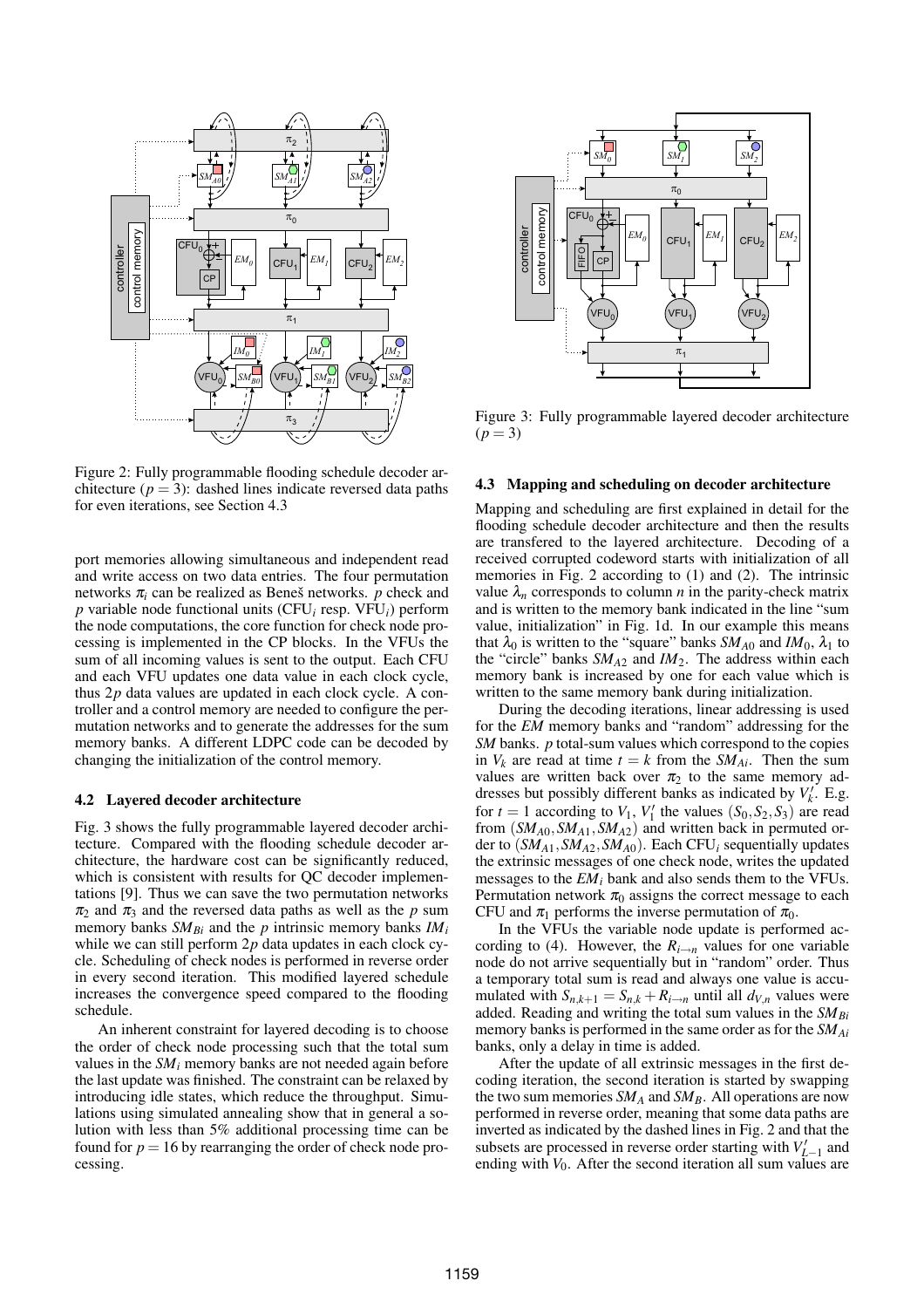

Figure 2: Fully programmable flooding schedule decoder architecture  $(p = 3)$ : dashed lines indicate reversed data paths for even iterations, see Section 4.3

port memories allowing simultaneous and independent read and write access on two data entries. The four permutation networks  $\pi$ <sub>*i*</sub> can be realized as Beneš networks.  $\bar{p}$  check and *p* variable node functional units (CFU*<sup>i</sup>* resp. VFU*i*) perform the node computations, the core function for check node processing is implemented in the CP blocks. In the VFUs the sum of all incoming values is sent to the output. Each CFU and each VFU updates one data value in each clock cycle, thus 2*p* data values are updated in each clock cycle. A controller and a control memory are needed to configure the permutation networks and to generate the addresses for the sum memory banks. A different LDPC code can be decoded by changing the initialization of the control memory.

### **4.2 Layered decoder architecture**

Fig. 3 shows the fully programmable layered decoder architecture. Compared with the flooding schedule decoder architecture, the hardware cost can be significantly reduced, which is consistent with results for QC decoder implementations [9]. Thus we can save the two permutation networks  $\pi_2$  and  $\pi_3$  and the reversed data paths as well as the *p* sum memory banks *SMBi* and the *p* intrinsic memory banks *IM<sup>i</sup>* while we can still perform 2*p* data updates in each clock cycle. Scheduling of check nodes is performed in reverse order in every second iteration. This modified layered schedule increases the convergence speed compared to the flooding schedule.

An inherent constraint for layered decoding is to choose the order of check node processing such that the total sum values in the *SM<sup>i</sup>* memory banks are not needed again before the last update was finished. The constraint can be relaxed by introducing idle states, which reduce the throughput. Simulations using simulated annealing show that in general a solution with less than 5% additional processing time can be found for  $p = 16$  by rearranging the order of check node processing.



Figure 3: Fully programmable layered decoder architecture  $(p = 3)$ 

## **4.3 Mapping and scheduling on decoder architecture**

Mapping and scheduling are first explained in detail for the flooding schedule decoder architecture and then the results are transfered to the layered architecture. Decoding of a received corrupted codeword starts with initialization of all memories in Fig. 2 according to (1) and (2). The intrinsic value  $\lambda_n$  corresponds to column *n* in the parity-check matrix and is written to the memory bank indicated in the line "sum value, initialization" in Fig. 1d. In our example this means that  $\lambda_0$  is written to the "square" banks  $SM_{A0}$  and  $IM_0$ ,  $\lambda_1$  to the "circle" banks *SMA*<sup>2</sup> and *IM*2. The address within each memory bank is increased by one for each value which is written to the same memory bank during initialization.

During the decoding iterations, linear addressing is used for the *EM* memory banks and "random" addressing for the *SM* banks. *p* total-sum values which correspond to the copies in  $V_k$  are read at time  $t = k$  from the *SM*<sub>Ai</sub>. Then the sum values are written back over  $\pi_2$  to the same memory addresses but possibly different banks as indicated by  $V_k'$ . E.g. for  $t = 1$  according to  $V_1$ ,  $V'_1$  the values  $(S_0, S_2, S_3)$  are read from (*SMA*0,*SMA*1,*SMA*2) and written back in permuted order to (*SMA*1,*SMA*2,*SMA*0). Each CFU*<sup>i</sup>* sequentially updates the extrinsic messages of one check node, writes the updated messages to the *EM<sup>i</sup>* bank and also sends them to the VFUs. Permutation network  $\pi_0$  assigns the correct message to each CFU and  $\pi_1$  performs the inverse permutation of  $\pi_0$ .

In the VFUs the variable node update is performed according to (4). However, the  $R_{i\rightarrow n}$  values for one variable node do not arrive sequentially but in "random" order. Thus a temporary total sum is read and always one value is accumulated with  $S_{n,k+1} = S_{n,k} + R_{i \to n}$  until all  $d_{V,n}$  values were added. Reading and writing the total sum values in the *SMBi* memory banks is performed in the same order as for the *SMAi* banks, only a delay in time is added.

After the update of all extrinsic messages in the first decoding iteration, the second iteration is started by swapping the two sum memories  $SM_A$  and  $SM_B$ . All operations are now performed in reverse order, meaning that some data paths are inverted as indicated by the dashed lines in Fig. 2 and that the subsets are processed in reverse order starting with  $V'_{L-1}$  and ending with  $V_0$ . After the second iteration all sum values are